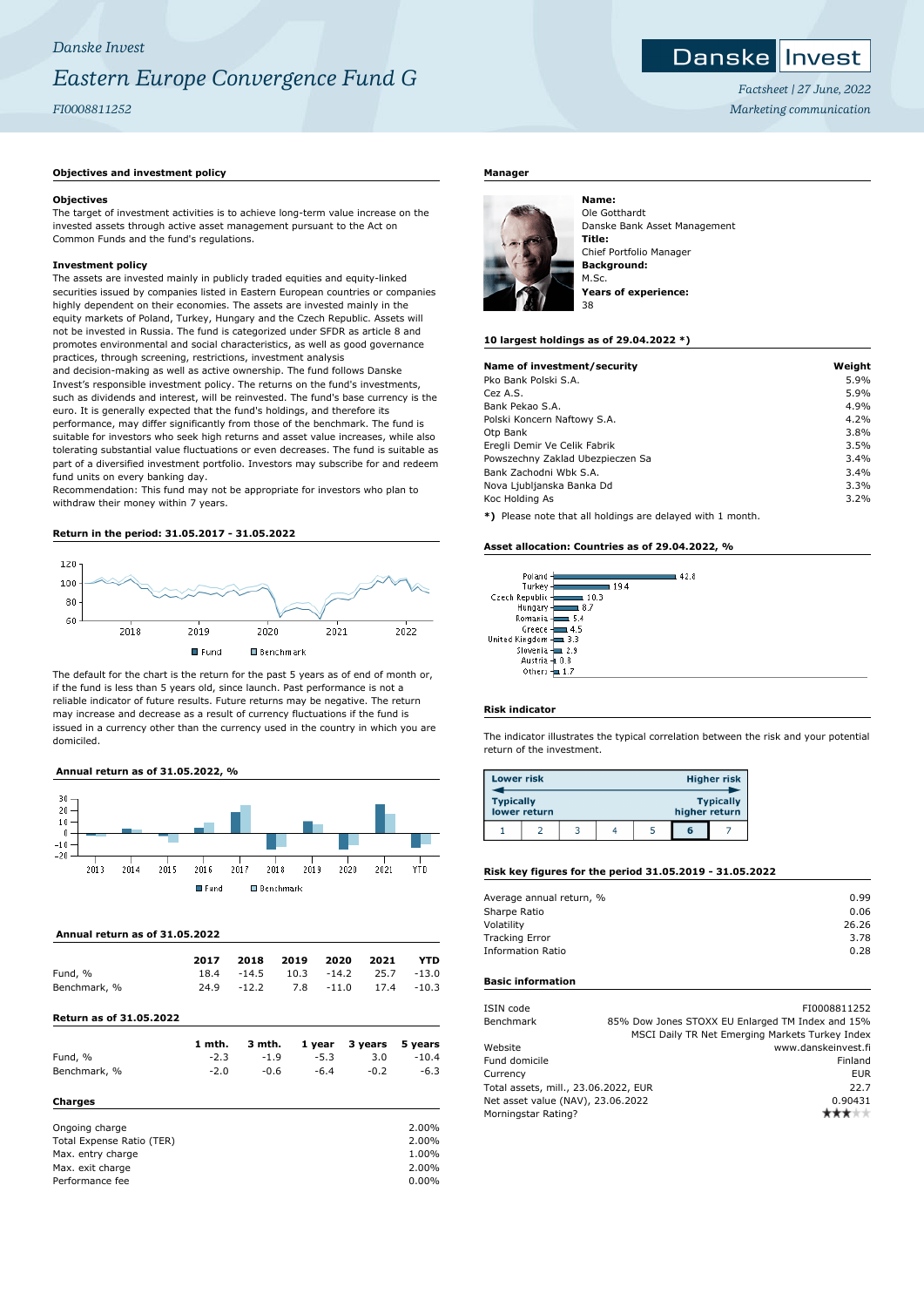# **Danske Invest**

*Factsheet | 27 June, 2022 Marketing communication*

# **Objectives and investment policy**

# **Objectives**

The target of investment activities is to achieve long-term value increase on the invested assets through active asset management pursuant to the Act on Common Funds and the fund's regulations.

# **Investment policy**

The assets are invested mainly in publicly traded equities and equity-linked securities issued by companies listed in Eastern European countries or companies highly dependent on their economies. The assets are invested mainly in the equity markets of Poland, Turkey, Hungary and the Czech Republic. Assets will not be invested in Russia. The fund is categorized under SFDR as article 8 and promotes environmental and social characteristics, as well as good governance practices, through screening, restrictions, investment analysis

and decision-making as well as active ownership. The fund follows Danske Invest's responsible investment policy. The returns on the fund's investments, such as dividends and interest, will be reinvested. The fund's base currency is the euro. It is generally expected that the fund's holdings, and therefore its performance, may differ significantly from those of the benchmark. The fund is suitable for investors who seek high returns and asset value increases, while also tolerating substantial value fluctuations or even decreases. The fund is suitable as part of a diversified investment portfolio. Investors may subscribe for and redeem fund units on every banking day.

Recommendation: This fund may not be appropriate for investors who plan to withdraw their money within 7 years.

### **Return in the period: 31.05.2017 - 31.05.2022**



The default for the chart is the return for the past 5 years as of end of month or, if the fund is less than 5 years old, since launch. Past performance is not a reliable indicator of future results. Future returns may be negative. The return may increase and decrease as a result of currency fluctuations if the fund is issued in a currency other than the currency used in the country in which you are domiciled.

# **Annual return as of 31.05.2022, %**



#### **Annual return as of 31.05.2022**

|              | 2017 |         | 2018 2019 2020 2021 |                               | YTD |
|--------------|------|---------|---------------------|-------------------------------|-----|
| Fund, %      | 18.4 | $-14.5$ |                     | $10.3$ $-14.2$ $25.7$ $-13.0$ |     |
| Benchmark, % | 24.9 | $-12.2$ |                     | 7.8 -11.0 17.4 -10.3          |     |

# **Return as of 31.05.2022**

|              | 1 mth. |        |        | 3 mth. 1 year 3 years 5 years |         |
|--------------|--------|--------|--------|-------------------------------|---------|
| Fund, %      | $-2.3$ | $-1.9$ | $-5.3$ | 3.0                           | $-10.4$ |
| Benchmark, % | $-2.0$ | -0.6   | -6.4   | $-0.2$                        | $-6.3$  |

#### **Charges**

| 2.00%    |
|----------|
| 2.00%    |
| 1.00%    |
| 2.00%    |
| $0.00\%$ |
|          |

#### **Manager**



Ole Gotthardt Danske Bank Asset Management **Title:** Chief Portfolio Manager **Background:** M.Sc. **Years of experience:**

#### **10 largest holdings as of 29.04.2022 \*)**

| Name of investment/security                                  | Weight |
|--------------------------------------------------------------|--------|
| Pko Bank Polski S.A.                                         | 5.9%   |
| Cez A.S.                                                     | 5.9%   |
| Bank Pekao S.A.                                              | 4.9%   |
| Polski Koncern Naftowy S.A.                                  | 4.2%   |
| Otp Bank                                                     | 3.8%   |
| Eregli Demir Ve Celik Fabrik                                 | 3.5%   |
| Powszechny Zaklad Ubezpieczen Sa                             | 3.4%   |
| Bank Zachodni Wbk S.A.                                       | 3.4%   |
| Nova Ljubljanska Banka Dd                                    | 3.3%   |
| Koc Holding As                                               | 3.2%   |
| $*1$ Dispos pote that all beldings are delayed with 1 member |        |

Please note that all holdings are delayed with 1 month.

#### **Asset allocation: Countries as of 29.04.2022, %**

| Poland         | 42.8 |
|----------------|------|
| Turkey         | 19.4 |
| Czech Republic | 10.3 |
| Hungary        | 8.7  |
| Romania        | 5.4  |
| Greece         | 4.5  |
| United Kingdom | 3.3  |
| Slovenia       | 2.9  |
| Austria -      | 0.8  |
| Others         |      |
|                |      |

# **Risk indicator**

The indicator illustrates the typical correlation between the risk and your potential return of the investment.

| <b>Lower risk</b> |              |  |               | <b>Higher risk</b> |
|-------------------|--------------|--|---------------|--------------------|
| <b>Typically</b>  | lower return |  | higher return | <b>Typically</b>   |
|                   |              |  | 6             |                    |

#### **Risk key figures for the period 31.05.2019 - 31.05.2022**

| Average annual return, % | 0.99  |
|--------------------------|-------|
| Sharpe Ratio             | 0.06  |
| Volatility               | 26.26 |
| <b>Tracking Error</b>    | 3.78  |
| <b>Information Ratio</b> | 0.28  |
|                          |       |

#### **Basic information**

| ISIN code                            | FI0008811252                                     |
|--------------------------------------|--------------------------------------------------|
| Benchmark                            | 85% Dow Jones STOXX EU Enlarged TM Index and 15% |
|                                      | MSCI Daily TR Net Emerging Markets Turkey Index  |
| Website                              | www.danskeinvest.fi                              |
| Fund domicile                        | Finland                                          |
| Currency                             | <b>EUR</b>                                       |
| Total assets, mill., 23.06.2022, EUR | 22.7                                             |
| Net asset value (NAV), 23.06.2022    | 0.90431                                          |
| Morningstar Rating?                  |                                                  |
|                                      |                                                  |